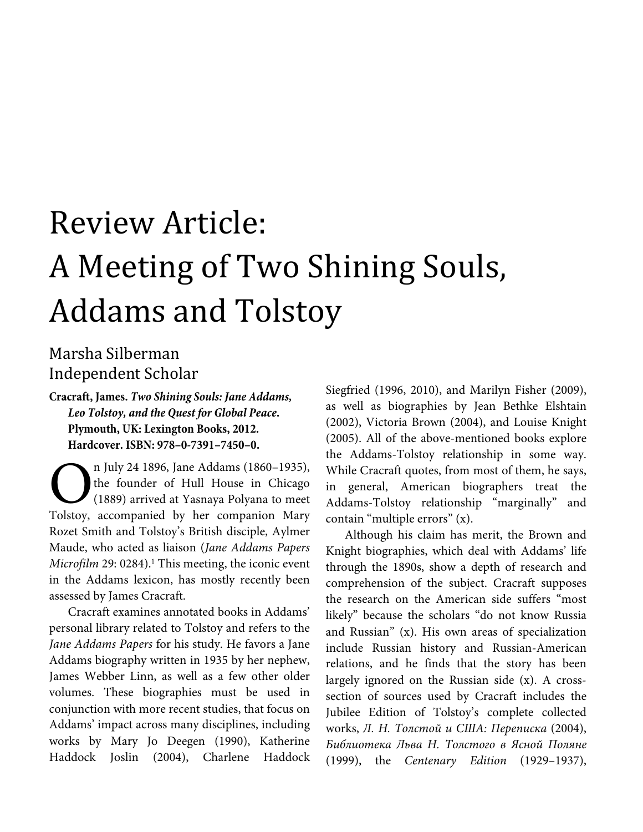## Review Article: A Meeting of Two Shining Souls, Addams and Tolstoy

## Marsha Silberman Independent Scholar

**Cracraft, James.** *Two Shining Souls: Jane Addams, Leo Tolstoy, and the Quest for Global Peace***. Plymouth, UK: Lexington Books, 2012. Hardcover. ISBN: 978–0-7391–7450–0.** 

n July 24 1896, Jane Addams (1860–1935), the founder of Hull House in Chicago (1889) arrived at Yasnaya Polyana to meet n July 24 1896, Jane Addams (1860–1935), the founder of Hull House in Chicago (1889) arrived at Yasnaya Polyana to meet Tolstoy, accompanied by her companion Mary Rozet Smith and Tolstoy's British disciple, Aylmer Maude, who acted as liaison (*Jane Addams Papers*  Microfilm 29: 0284).<sup>1</sup> This meeting, the iconic event in the Addams lexicon, has mostly recently been assessed by James Cracraft.

Cracraft examines annotated books in Addams' personal library related to Tolstoy and refers to the *Jane Addams Papers* for his study. He favors a Jane Addams biography written in 1935 by her nephew, James Webber Linn, as well as a few other older volumes. These biographies must be used in conjunction with more recent studies, that focus on Addams' impact across many disciplines, including works by Mary Jo Deegen (1990), Katherine Haddock Joslin (2004), Charlene Haddock Siegfried (1996, 2010), and Marilyn Fisher (2009), as well as biographies by Jean Bethke Elshtain (2002), Victoria Brown (2004), and Louise Knight (2005). All of the above-mentioned books explore the Addams-Tolstoy relationship in some way. While Cracraft quotes, from most of them, he says, in general, American biographers treat the Addams-Tolstoy relationship "marginally" and contain "multiple errors" (x).

Although his claim has merit, the Brown and Knight biographies, which deal with Addams' life through the 1890s, show a depth of research and comprehension of the subject. Cracraft supposes the research on the American side suffers "most likely" because the scholars "do not know Russia and Russian" (x). His own areas of specialization include Russian history and Russian-American relations, and he finds that the story has been largely ignored on the Russian side (x). A crosssection of sources used by Cracraft includes the Jubilee Edition of Tolstoy's complete collected works, *Л. Н. Толстой и США: Переписка* (2004), *Библиoтeкa Льва Н. Toлcтoго в Ясной Поляне* (1999), the *Centenary Edition* (1929–1937),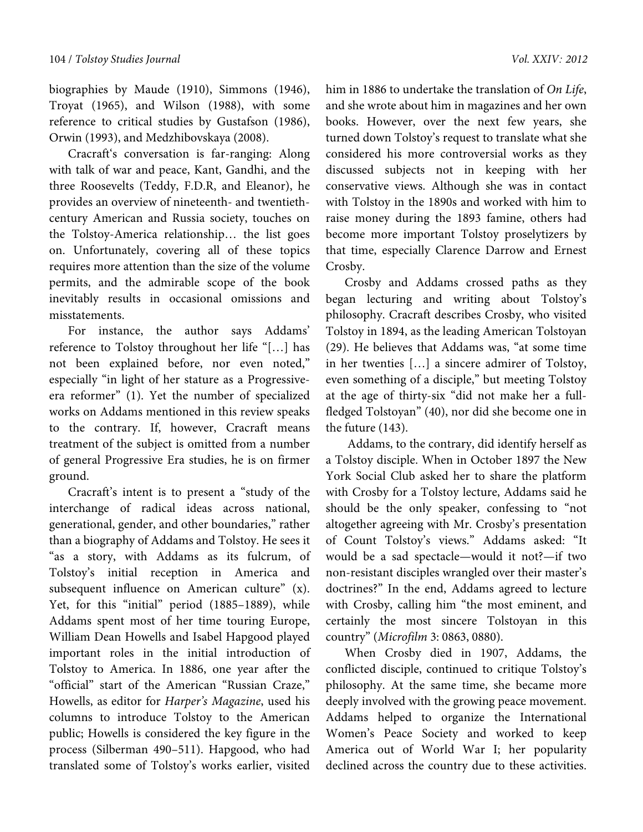biographies by Maude (1910), Simmons (1946), Troyat (1965), and Wilson (1988), with some reference to critical studies by Gustafson (1986), Orwin (1993), and Medzhibovskaya (2008).

Cracraft's conversation is far-ranging: Along with talk of war and peace, Kant, Gandhi, and the three Roosevelts (Teddy, F.D.R, and Eleanor), he provides an overview of nineteenth- and twentiethcentury American and Russia society, touches on the Tolstoy-America relationship… the list goes on. Unfortunately, covering all of these topics requires more attention than the size of the volume permits, and the admirable scope of the book inevitably results in occasional omissions and misstatements.

For instance, the author says Addams' reference to Tolstoy throughout her life "[…] has not been explained before, nor even noted," especially "in light of her stature as a Progressiveera reformer" (1). Yet the number of specialized works on Addams mentioned in this review speaks to the contrary. If, however, Cracraft means treatment of the subject is omitted from a number of general Progressive Era studies, he is on firmer ground.

Cracraft's intent is to present a "study of the interchange of radical ideas across national, generational, gender, and other boundaries," rather than a biography of Addams and Tolstoy. He sees it "as a story, with Addams as its fulcrum, of Tolstoy's initial reception in America and subsequent influence on American culture" (x). Yet, for this "initial" period (1885–1889), while Addams spent most of her time touring Europe, William Dean Howells and Isabel Hapgood played important roles in the initial introduction of Tolstoy to America. In 1886, one year after the "official" start of the American "Russian Craze," Howells, as editor for *Harper's Magazine*, used his columns to introduce Tolstoy to the American public; Howells is considered the key figure in the process (Silberman 490–511). Hapgood, who had translated some of Tolstoy's works earlier, visited

him in 1886 to undertake the translation of *On Life*, and she wrote about him in magazines and her own books. However, over the next few years, she turned down Tolstoy's request to translate what she considered his more controversial works as they discussed subjects not in keeping with her conservative views. Although she was in contact with Tolstoy in the 1890s and worked with him to raise money during the 1893 famine, others had become more important Tolstoy proselytizers by that time, especially Clarence Darrow and Ernest Crosby.

Crosby and Addams crossed paths as they began lecturing and writing about Tolstoy's philosophy. Cracraft describes Crosby, who visited Tolstoy in 1894, as the leading American Tolstoyan (29). He believes that Addams was, "at some time in her twenties […] a sincere admirer of Tolstoy, even something of a disciple," but meeting Tolstoy at the age of thirty-six "did not make her a fullfledged Tolstoyan" (40), nor did she become one in the future (143).

 Addams, to the contrary, did identify herself as a Tolstoy disciple. When in October 1897 the New York Social Club asked her to share the platform with Crosby for a Tolstoy lecture, Addams said he should be the only speaker, confessing to "not altogether agreeing with Mr. Crosby's presentation of Count Tolstoy's views." Addams asked: "It would be a sad spectacle—would it not?—if two non-resistant disciples wrangled over their master's doctrines?" In the end, Addams agreed to lecture with Crosby, calling him "the most eminent, and certainly the most sincere Tolstoyan in this country" (*Microfilm* 3: 0863, 0880).

When Crosby died in 1907, Addams, the conflicted disciple, continued to critique Tolstoy's philosophy. At the same time, she became more deeply involved with the growing peace movement. Addams helped to organize the International Women's Peace Society and worked to keep America out of World War I; her popularity declined across the country due to these activities.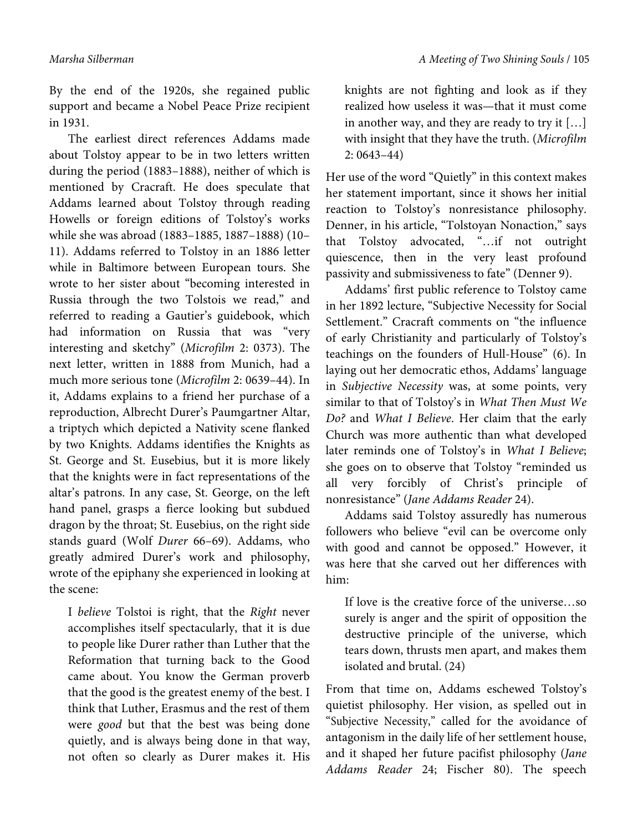By the end of the 1920s, she regained public support and became a Nobel Peace Prize recipient in 1931.

The earliest direct references Addams made about Tolstoy appear to be in two letters written during the period (1883–1888), neither of which is mentioned by Cracraft. He does speculate that Addams learned about Tolstoy through reading Howells or foreign editions of Tolstoy's works while she was abroad (1883–1885, 1887–1888) (10– 11). Addams referred to Tolstoy in an 1886 letter while in Baltimore between European tours. She wrote to her sister about "becoming interested in Russia through the two Tolstois we read," and referred to reading a Gautier's guidebook, which had information on Russia that was "very interesting and sketchy" (*Microfilm* 2: 0373). The next letter, written in 1888 from Munich, had a much more serious tone (*Microfilm* 2: 0639–44). In it, Addams explains to a friend her purchase of a reproduction, Albrecht Durer's Paumgartner Altar, a triptych which depicted a Nativity scene flanked by two Knights. Addams identifies the Knights as St. George and St. Eusebius, but it is more likely that the knights were in fact representations of the altar's patrons. In any case, St. George, on the left hand panel, grasps a fierce looking but subdued dragon by the throat; St. Eusebius, on the right side stands guard (Wolf *Durer* 66–69). Addams, who greatly admired Durer's work and philosophy, wrote of the epiphany she experienced in looking at the scene:

I *believe* Tolstoi is right, that the *Right* never accomplishes itself spectacularly, that it is due to people like Durer rather than Luther that the Reformation that turning back to the Good came about. You know the German proverb that the good is the greatest enemy of the best. I think that Luther, Erasmus and the rest of them were *good* but that the best was being done quietly, and is always being done in that way, not often so clearly as Durer makes it. His knights are not fighting and look as if they realized how useless it was—that it must come in another way, and they are ready to try it […] with insight that they have the truth. (*Microfilm*  2: 0643–44)

Her use of the word "Quietly" in this context makes her statement important, since it shows her initial reaction to Tolstoy's nonresistance philosophy. Denner, in his article, "Tolstoyan Nonaction," says that Tolstoy advocated, "…if not outright quiescence, then in the very least profound passivity and submissiveness to fate" (Denner 9).

Addams' first public reference to Tolstoy came in her 1892 lecture, "Subjective Necessity for Social Settlement." Cracraft comments on "the influence of early Christianity and particularly of Tolstoy's teachings on the founders of Hull-House" (6). In laying out her democratic ethos, Addams' language in *Subjective Necessity* was, at some points, very similar to that of Tolstoy's in *What Then Must We Do?* and *What I Believe*. Her claim that the early Church was more authentic than what developed later reminds one of Tolstoy's in *What I Believe*; she goes on to observe that Tolstoy "reminded us all very forcibly of Christ's principle of nonresistance" (*Jane Addams Reader* 24).

Addams said Tolstoy assuredly has numerous followers who believe "evil can be overcome only with good and cannot be opposed." However, it was here that she carved out her differences with him:

If love is the creative force of the universe…so surely is anger and the spirit of opposition the destructive principle of the universe, which tears down, thrusts men apart, and makes them isolated and brutal. (24)

From that time on, Addams eschewed Tolstoy's quietist philosophy. Her vision, as spelled out in "Subjective Necessity," called for the avoidance of antagonism in the daily life of her settlement house, and it shaped her future pacifist philosophy (*Jane Addams Reader* 24; Fischer 80). The speech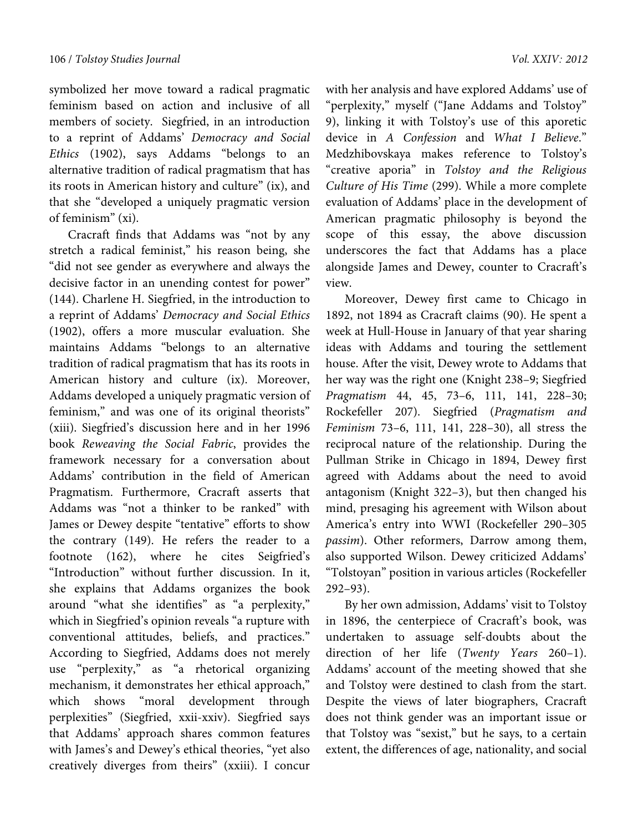symbolized her move toward a radical pragmatic feminism based on action and inclusive of all members of society. Siegfried, in an introduction to a reprint of Addams' *Democracy and Social Ethics* (1902), says Addams "belongs to an alternative tradition of radical pragmatism that has its roots in American history and culture" (ix), and that she "developed a uniquely pragmatic version of feminism" (xi).

Cracraft finds that Addams was "not by any stretch a radical feminist," his reason being, she "did not see gender as everywhere and always the decisive factor in an unending contest for power" (144). Charlene H. Siegfried, in the introduction to a reprint of Addams' *Democracy and Social Ethics* (1902), offers a more muscular evaluation. She maintains Addams "belongs to an alternative tradition of radical pragmatism that has its roots in American history and culture (ix). Moreover, Addams developed a uniquely pragmatic version of feminism," and was one of its original theorists" (xiii). Siegfried's discussion here and in her 1996 book *Reweaving the Social Fabric*, provides the framework necessary for a conversation about Addams' contribution in the field of American Pragmatism. Furthermore, Cracraft asserts that Addams was "not a thinker to be ranked" with James or Dewey despite "tentative" efforts to show the contrary (149). He refers the reader to a footnote (162), where he cites Seigfried's "Introduction" without further discussion. In it, she explains that Addams organizes the book around "what she identifies" as "a perplexity," which in Siegfried's opinion reveals "a rupture with conventional attitudes, beliefs, and practices." According to Siegfried, Addams does not merely use "perplexity," as "a rhetorical organizing mechanism, it demonstrates her ethical approach," which shows "moral development through perplexities" (Siegfried, xxii-xxiv). Siegfried says that Addams' approach shares common features with James's and Dewey's ethical theories, "yet also creatively diverges from theirs" (xxiii). I concur

with her analysis and have explored Addams' use of "perplexity," myself ("Jane Addams and Tolstoy" 9), linking it with Tolstoy's use of this aporetic device in *A Confession* and *What I Believe*." Medzhibovskaya makes reference to Tolstoy's "creative aporia" in *Tolstoy and the Religious Culture of His Time* (299). While a more complete evaluation of Addams' place in the development of American pragmatic philosophy is beyond the scope of this essay, the above discussion underscores the fact that Addams has a place alongside James and Dewey, counter to Cracraft's view.

Moreover, Dewey first came to Chicago in 1892, not 1894 as Cracraft claims (90). He spent a week at Hull-House in January of that year sharing ideas with Addams and touring the settlement house. After the visit, Dewey wrote to Addams that her way was the right one (Knight 238–9; Siegfried *Pragmatism* 44, 45, 73–6, 111, 141, 228–30; Rockefeller 207). Siegfried (*Pragmatism and Feminism* 73–6, 111, 141, 228–30), all stress the reciprocal nature of the relationship. During the Pullman Strike in Chicago in 1894, Dewey first agreed with Addams about the need to avoid antagonism (Knight 322–3), but then changed his mind, presaging his agreement with Wilson about America's entry into WWI (Rockefeller 290–305 *passim*). Other reformers, Darrow among them, also supported Wilson. Dewey criticized Addams' "Tolstoyan" position in various articles (Rockefeller 292–93).

By her own admission, Addams' visit to Tolstoy in 1896, the centerpiece of Cracraft's book, was undertaken to assuage self-doubts about the direction of her life (*Twenty Years* 260–1). Addams' account of the meeting showed that she and Tolstoy were destined to clash from the start. Despite the views of later biographers, Cracraft does not think gender was an important issue or that Tolstoy was "sexist," but he says, to a certain extent, the differences of age, nationality, and social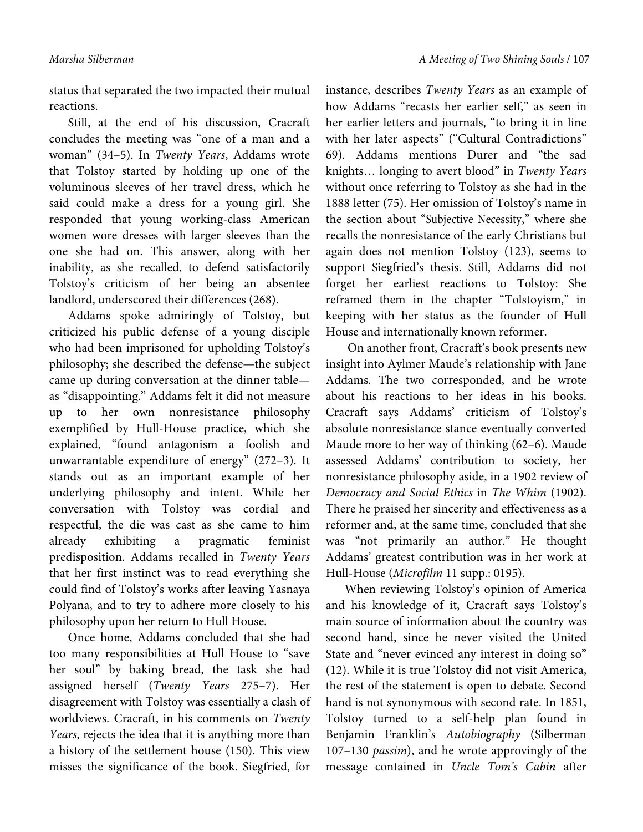status that separated the two impacted their mutual reactions.

Still, at the end of his discussion, Cracraft concludes the meeting was "one of a man and a woman" (34–5). In *Twenty Years*, Addams wrote that Tolstoy started by holding up one of the voluminous sleeves of her travel dress, which he said could make a dress for a young girl. She responded that young working-class American women wore dresses with larger sleeves than the one she had on. This answer, along with her inability, as she recalled, to defend satisfactorily Tolstoy's criticism of her being an absentee landlord, underscored their differences (268).

Addams spoke admiringly of Tolstoy, but criticized his public defense of a young disciple who had been imprisoned for upholding Tolstoy's philosophy; she described the defense—the subject came up during conversation at the dinner table as "disappointing." Addams felt it did not measure up to her own nonresistance philosophy exemplified by Hull-House practice, which she explained, "found antagonism a foolish and unwarrantable expenditure of energy" (272–3). It stands out as an important example of her underlying philosophy and intent. While her conversation with Tolstoy was cordial and respectful, the die was cast as she came to him already exhibiting a pragmatic feminist predisposition. Addams recalled in *Twenty Years*  that her first instinct was to read everything she could find of Tolstoy's works after leaving Yasnaya Polyana, and to try to adhere more closely to his philosophy upon her return to Hull House.

Once home, Addams concluded that she had too many responsibilities at Hull House to "save her soul" by baking bread, the task she had assigned herself (*Twenty Years* 275–7). Her disagreement with Tolstoy was essentially a clash of worldviews. Cracraft, in his comments on *Twenty Years*, rejects the idea that it is anything more than a history of the settlement house (150). This view misses the significance of the book. Siegfried, for

instance, describes *Twenty Years* as an example of how Addams "recasts her earlier self," as seen in her earlier letters and journals, "to bring it in line with her later aspects" ("Cultural Contradictions" 69). Addams mentions Durer and "the sad knights… longing to avert blood" in *Twenty Years*  without once referring to Tolstoy as she had in the 1888 letter (75). Her omission of Tolstoy's name in the section about "Subjective Necessity," where she recalls the nonresistance of the early Christians but again does not mention Tolstoy (123), seems to support Siegfried's thesis. Still, Addams did not forget her earliest reactions to Tolstoy: She reframed them in the chapter "Tolstoyism," in keeping with her status as the founder of Hull House and internationally known reformer.

 On another front, Cracraft's book presents new insight into Aylmer Maude's relationship with Jane Addams. The two corresponded, and he wrote about his reactions to her ideas in his books. Cracraft says Addams' criticism of Tolstoy's absolute nonresistance stance eventually converted Maude more to her way of thinking (62–6). Maude assessed Addams' contribution to society, her nonresistance philosophy aside, in a 1902 review of *Democracy and Social Ethics* in *The Whim* (1902). There he praised her sincerity and effectiveness as a reformer and, at the same time, concluded that she was "not primarily an author." He thought Addams' greatest contribution was in her work at Hull-House (*Microfilm* 11 supp.: 0195).

When reviewing Tolstoy's opinion of America and his knowledge of it, Cracraft says Tolstoy's main source of information about the country was second hand, since he never visited the United State and "never evinced any interest in doing so" (12). While it is true Tolstoy did not visit America, the rest of the statement is open to debate. Second hand is not synonymous with second rate. In 1851, Tolstoy turned to a self-help plan found in Benjamin Franklin's *Autobiography* (Silberman 107–130 *passim*), and he wrote approvingly of the message contained in *Uncle Tom's Cabin* after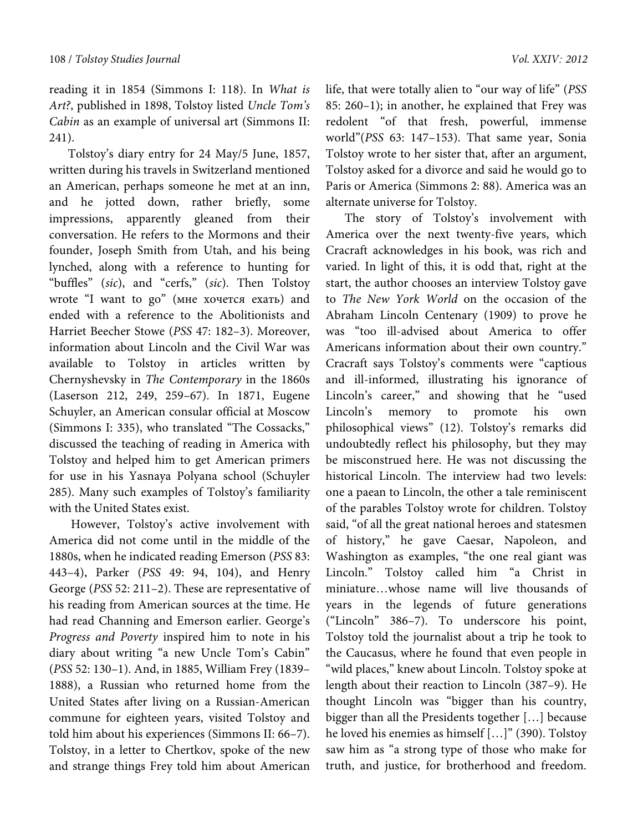reading it in 1854 (Simmons I: 118). In *What is Art?*, published in 1898, Tolstoy listed *Uncle Tom's Cabin* as an example of universal art (Simmons II: 241).

Tolstoy's diary entry for 24 May/5 June, 1857, written during his travels in Switzerland mentioned an American, perhaps someone he met at an inn, and he jotted down, rather briefly, some impressions, apparently gleaned from their conversation. He refers to the Mormons and their founder, Joseph Smith from Utah, and his being lynched, along with a reference to hunting for "buffles" (*sic*), and "cerfs," (*sic*). Then Tolstoy wrote "I want to go" (мне хочется ехать) and ended with a reference to the Abolitionists and Harriet Beecher Stowe (*PSS* 47: 182–3). Moreover, information about Lincoln and the Civil War was available to Tolstoy in articles written by Chernyshevsky in *The Contemporary* in the 1860s (Laserson 212, 249, 259–67). In 1871, Eugene Schuyler, an American consular official at Moscow (Simmons I: 335), who translated "The Cossacks," discussed the teaching of reading in America with Tolstoy and helped him to get American primers for use in his Yasnaya Polyana school (Schuyler 285). Many such examples of Tolstoy's familiarity with the United States exist.

 However, Tolstoy's active involvement with America did not come until in the middle of the 1880s, when he indicated reading Emerson (*PSS* 83: 443–4), Parker (*PSS* 49: 94, 104), and Henry George (*PSS* 52: 211–2). These are representative of his reading from American sources at the time. He had read Channing and Emerson earlier. George's *Progress and Poverty* inspired him to note in his diary about writing "a new Uncle Tom's Cabin" (*PSS* 52: 130–1). And, in 1885, William Frey (1839– 1888), a Russian who returned home from the United States after living on a Russian-American commune for eighteen years, visited Tolstoy and told him about his experiences (Simmons II: 66–7). Tolstoy, in a letter to Chertkov, spoke of the new and strange things Frey told him about American

life, that were totally alien to "our way of life" (*PSS* 85: 260–1); in another, he explained that Frey was redolent "of that fresh, powerful, immense world"(*PSS* 63: 147–153). That same year, Sonia Tolstoy wrote to her sister that, after an argument, Tolstoy asked for a divorce and said he would go to Paris or America (Simmons 2: 88). America was an alternate universe for Tolstoy.

The story of Tolstoy's involvement with America over the next twenty-five years, which Cracraft acknowledges in his book, was rich and varied. In light of this, it is odd that, right at the start, the author chooses an interview Tolstoy gave to *The New York World* on the occasion of the Abraham Lincoln Centenary (1909) to prove he was "too ill-advised about America to offer Americans information about their own country." Cracraft says Tolstoy's comments were "captious and ill-informed, illustrating his ignorance of Lincoln's career," and showing that he "used Lincoln's memory to promote his own philosophical views" (12). Tolstoy's remarks did undoubtedly reflect his philosophy, but they may be misconstrued here. He was not discussing the historical Lincoln. The interview had two levels: one a paean to Lincoln, the other a tale reminiscent of the parables Tolstoy wrote for children. Tolstoy said, "of all the great national heroes and statesmen of history," he gave Caesar, Napoleon, and Washington as examples, "the one real giant was Lincoln." Tolstoy called him "a Christ in miniature…whose name will live thousands of years in the legends of future generations ("Lincoln" 386–7). To underscore his point, Tolstoy told the journalist about a trip he took to the Caucasus, where he found that even people in "wild places," knew about Lincoln. Tolstoy spoke at length about their reaction to Lincoln (387–9). He thought Lincoln was "bigger than his country, bigger than all the Presidents together […] because he loved his enemies as himself [...]" (390). Tolstoy saw him as "a strong type of those who make for truth, and justice, for brotherhood and freedom.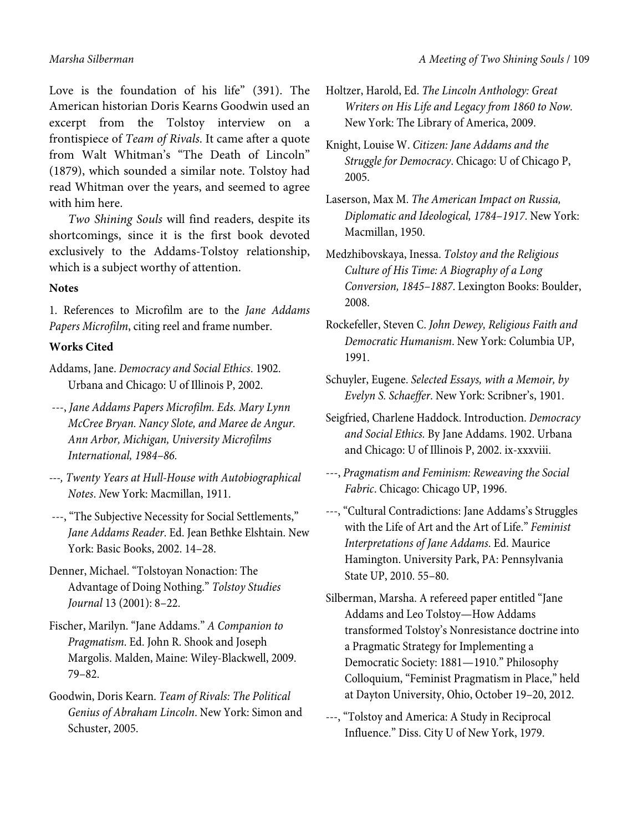Love is the foundation of his life" (391). The American historian Doris Kearns Goodwin used an excerpt from the Tolstoy interview on a frontispiece of *Team of Rivals*. It came after a quote from Walt Whitman's "The Death of Lincoln" (1879), which sounded a similar note. Tolstoy had read Whitman over the years, and seemed to agree with him here.

*Two Shining Souls* will find readers, despite its shortcomings, since it is the first book devoted exclusively to the Addams-Tolstoy relationship, which is a subject worthy of attention.

## **Notes**

1. References to Microfilm are to the *Jane Addams Papers Microfilm*, citing reel and frame number.

## **Works Cited**

Addams, Jane. *Democracy and Social Ethics*. 1902. Urbana and Chicago: U of Illinois P, 2002.

- ---, *Jane Addams Papers Microfilm. Eds. Mary Lynn McCree Bryan. Nancy Slote, and Maree de Angur. Ann Arbor, Michigan, University Microfilms International, 1984–86.*
- *---, Twenty Years at Hull-House with Autobiographical Notes*. *N*ew York: Macmillan, 1911.
- ---, "The Subjective Necessity for Social Settlements," *Jane Addams Reader*. Ed. Jean Bethke Elshtain. New York: Basic Books, 2002. 14–28.
- Denner, Michael. "Tolstoyan Nonaction: The Advantage of Doing Nothing." *Tolstoy Studies Journal* 13 (2001): 8–22.
- Fischer, Marilyn. "Jane Addams." *A Companion to Pragmatism*. Ed. John R. Shook and Joseph Margolis. Malden, Maine: Wiley-Blackwell, 2009. 79–82.
- Goodwin, Doris Kearn. *Team of Rivals: The Political Genius of Abraham Lincoln*. New York: Simon and Schuster, 2005.
- Holtzer, Harold, Ed. *The Lincoln Anthology: Great Writers on His Life and Legacy from 1860 to Now.* New York: The Library of America, 2009.
- Knight, Louise W. *Citizen: Jane Addams and the Struggle for Democracy*. Chicago: U of Chicago P, 2005.
- Laserson, Max M. *The American Impact on Russia, Diplomatic and Ideological, 1784–1917*. New York: Macmillan, 1950.
- Medzhibovskaya, Inessa. *Tolstoy and the Religious Culture of His Time: A Biography of a Long Conversion, 1845–1887*. Lexington Books: Boulder, 2008.
- Rockefeller, Steven C. *John Dewey, Religious Faith and Democratic Humanism*. New York: Columbia UP, 1991.
- Schuyler, Eugene. *Selected Essays, with a Memoir, by Evelyn S. Schaeffer*. New York: Scribner's, 1901.
- Seigfried, Charlene Haddock. Introduction. *Democracy and Social Ethics.* By Jane Addams. 1902. Urbana and Chicago: U of Illinois P, 2002. ix-xxxviii.
- ---, *Pragmatism and Feminism: Reweaving the Social Fabric*. Chicago: Chicago UP, 1996.
- ---, "Cultural Contradictions: Jane Addams's Struggles with the Life of Art and the Art of Life." *Feminist Interpretations of Jane Addams*. Ed. Maurice Hamington. University Park, PA: Pennsylvania State UP, 2010. 55–80.
- Silberman, Marsha. A refereed paper entitled "Jane Addams and Leo Tolstoy—How Addams transformed Tolstoy's Nonresistance doctrine into a Pragmatic Strategy for Implementing a Democratic Society: 1881—1910." Philosophy Colloquium, "Feminist Pragmatism in Place," held at Dayton University, Ohio, October 19–20, 2012.
- ---, "Tolstoy and America: A Study in Reciprocal Influence." Diss. City U of New York, 1979.